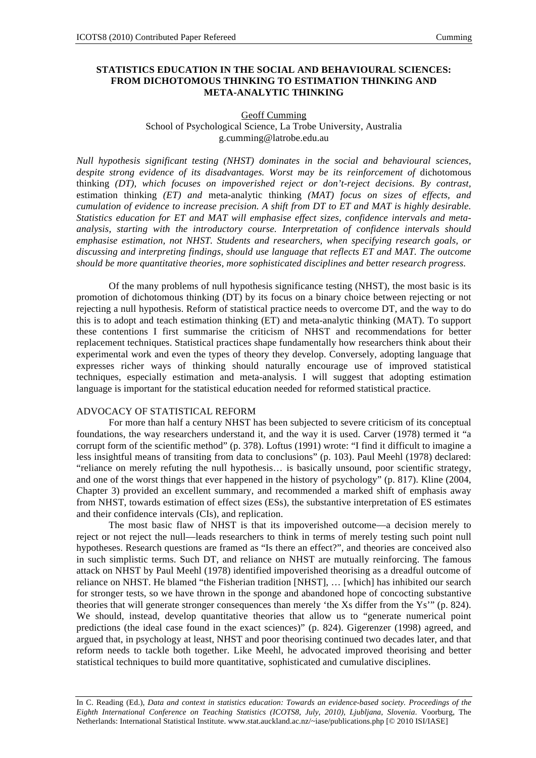# **STATISTICS EDUCATION IN THE SOCIAL AND BEHAVIOURAL SCIENCES: FROM DICHOTOMOUS THINKING TO ESTIMATION THINKING AND META-ANALYTIC THINKING**

#### Geoff Cumming School of Psychological Science, La Trobe University, Australia g.cumming@latrobe.edu.au

*Null hypothesis significant testing (NHST) dominates in the social and behavioural sciences,*  despite strong evidence of its disadvantages. Worst may be its reinforcement of dichotomous thinking *(DT), which focuses on impoverished reject or don't-reject decisions. By contrast,*  estimation thinking *(ET) and* meta-analytic thinking *(MAT) focus on sizes of effects, and cumulation of evidence to increase precision. A shift from DT to ET and MAT is highly desirable. Statistics education for ET and MAT will emphasise effect sizes, confidence intervals and metaanalysis, starting with the introductory course. Interpretation of confidence intervals should emphasise estimation, not NHST. Students and researchers, when specifying research goals, or discussing and interpreting findings, should use language that reflects ET and MAT. The outcome should be more quantitative theories, more sophisticated disciplines and better research progress.* 

Of the many problems of null hypothesis significance testing (NHST), the most basic is its promotion of dichotomous thinking (DT) by its focus on a binary choice between rejecting or not rejecting a null hypothesis. Reform of statistical practice needs to overcome DT, and the way to do this is to adopt and teach estimation thinking (ET) and meta-analytic thinking (MAT). To support these contentions I first summarise the criticism of NHST and recommendations for better replacement techniques. Statistical practices shape fundamentally how researchers think about their experimental work and even the types of theory they develop. Conversely, adopting language that expresses richer ways of thinking should naturally encourage use of improved statistical techniques, especially estimation and meta-analysis. I will suggest that adopting estimation language is important for the statistical education needed for reformed statistical practice.

### ADVOCACY OF STATISTICAL REFORM

For more than half a century NHST has been subjected to severe criticism of its conceptual foundations, the way researchers understand it, and the way it is used. Carver (1978) termed it "a corrupt form of the scientific method" (p. 378). Loftus (1991) wrote: "I find it difficult to imagine a less insightful means of transiting from data to conclusions" (p. 103). Paul Meehl (1978) declared: "reliance on merely refuting the null hypothesis… is basically unsound, poor scientific strategy, and one of the worst things that ever happened in the history of psychology" (p. 817). Kline (2004, Chapter 3) provided an excellent summary, and recommended a marked shift of emphasis away from NHST, towards estimation of effect sizes (ESs), the substantive interpretation of ES estimates and their confidence intervals (CIs), and replication.

The most basic flaw of NHST is that its impoverished outcome—a decision merely to reject or not reject the null—leads researchers to think in terms of merely testing such point null hypotheses. Research questions are framed as "Is there an effect?", and theories are conceived also in such simplistic terms. Such DT, and reliance on NHST are mutually reinforcing. The famous attack on NHST by Paul Meehl (1978) identified impoverished theorising as a dreadful outcome of reliance on NHST. He blamed "the Fisherian tradition [NHST], … [which] has inhibited our search for stronger tests, so we have thrown in the sponge and abandoned hope of concocting substantive theories that will generate stronger consequences than merely 'the Xs differ from the Ys'" (p. 824). We should, instead, develop quantitative theories that allow us to "generate numerical point" predictions (the ideal case found in the exact sciences)" (p. 824). Gigerenzer (1998) agreed, and argued that, in psychology at least, NHST and poor theorising continued two decades later, and that reform needs to tackle both together. Like Meehl, he advocated improved theorising and better statistical techniques to build more quantitative, sophisticated and cumulative disciplines.

In C. Reading (Ed.), *Data and context in statistics education: Towards an evidence-based society. Proceedings of the Eighth International Conference on Teaching Statistics (ICOTS8, July, 2010), Ljubljana, Slovenia*. Voorburg, The Netherlands: International Statistical Institute. www.stat.auckland.ac.nz/~iase/publications.php [© 2010 ISI/IASE]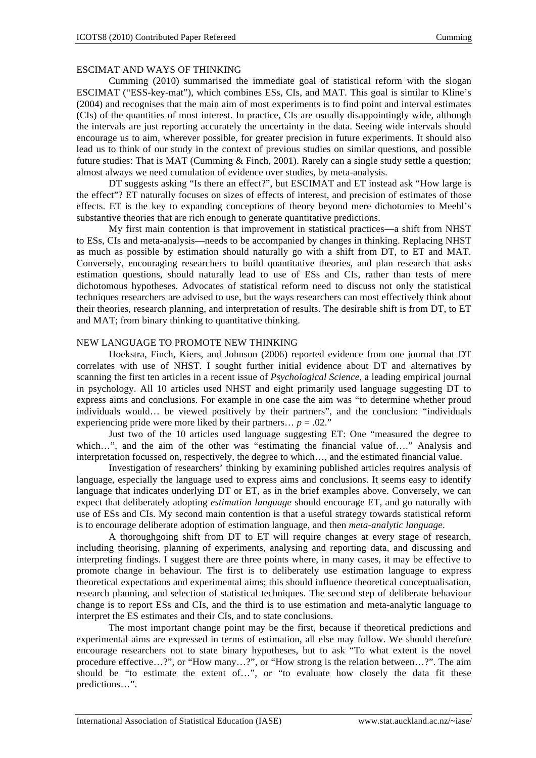# ESCIMAT AND WAYS OF THINKING

Cumming (2010) summarised the immediate goal of statistical reform with the slogan ESCIMAT ("ESS-key-mat"), which combines ESs, CIs, and MAT. This goal is similar to Kline's (2004) and recognises that the main aim of most experiments is to find point and interval estimates (CIs) of the quantities of most interest. In practice, CIs are usually disappointingly wide, although the intervals are just reporting accurately the uncertainty in the data. Seeing wide intervals should encourage us to aim, wherever possible, for greater precision in future experiments. It should also lead us to think of our study in the context of previous studies on similar questions, and possible future studies: That is MAT (Cumming & Finch, 2001). Rarely can a single study settle a question; almost always we need cumulation of evidence over studies, by meta-analysis.

DT suggests asking "Is there an effect?", but ESCIMAT and ET instead ask "How large is the effect"? ET naturally focuses on sizes of effects of interest, and precision of estimates of those effects. ET is the key to expanding conceptions of theory beyond mere dichotomies to Meehl's substantive theories that are rich enough to generate quantitative predictions.

My first main contention is that improvement in statistical practices—a shift from NHST to ESs, CIs and meta-analysis—needs to be accompanied by changes in thinking. Replacing NHST as much as possible by estimation should naturally go with a shift from DT, to ET and MAT. Conversely, encouraging researchers to build quantitative theories, and plan research that asks estimation questions, should naturally lead to use of ESs and CIs, rather than tests of mere dichotomous hypotheses. Advocates of statistical reform need to discuss not only the statistical techniques researchers are advised to use, but the ways researchers can most effectively think about their theories, research planning, and interpretation of results. The desirable shift is from DT, to ET and MAT; from binary thinking to quantitative thinking.

#### NEW LANGUAGE TO PROMOTE NEW THINKING

Hoekstra, Finch, Kiers, and Johnson (2006) reported evidence from one journal that DT correlates with use of NHST. I sought further initial evidence about DT and alternatives by scanning the first ten articles in a recent issue of *Psychological Science*, a leading empirical journal in psychology. All 10 articles used NHST and eight primarily used language suggesting DT to express aims and conclusions. For example in one case the aim was "to determine whether proud individuals would… be viewed positively by their partners", and the conclusion: "individuals experiencing pride were more liked by their partners...  $p = .02$ ."

Just two of the 10 articles used language suggesting ET: One "measured the degree to which…", and the aim of the other was "estimating the financial value of...." Analysis and interpretation focussed on, respectively, the degree to which…, and the estimated financial value.

Investigation of researchers' thinking by examining published articles requires analysis of language, especially the language used to express aims and conclusions. It seems easy to identify language that indicates underlying DT or ET, as in the brief examples above. Conversely, we can expect that deliberately adopting *estimation language* should encourage ET, and go naturally with use of ESs and CIs. My second main contention is that a useful strategy towards statistical reform is to encourage deliberate adoption of estimation language, and then *meta-analytic language*.

A thoroughgoing shift from DT to ET will require changes at every stage of research, including theorising, planning of experiments, analysing and reporting data, and discussing and interpreting findings. I suggest there are three points where, in many cases, it may be effective to promote change in behaviour. The first is to deliberately use estimation language to express theoretical expectations and experimental aims; this should influence theoretical conceptualisation, research planning, and selection of statistical techniques. The second step of deliberate behaviour change is to report ESs and CIs, and the third is to use estimation and meta-analytic language to interpret the ES estimates and their CIs, and to state conclusions.

The most important change point may be the first, because if theoretical predictions and experimental aims are expressed in terms of estimation, all else may follow. We should therefore encourage researchers not to state binary hypotheses, but to ask "To what extent is the novel procedure effective…?", or "How many…?", or "How strong is the relation between…?". The aim should be "to estimate the extent of…", or "to evaluate how closely the data fit these predictions…".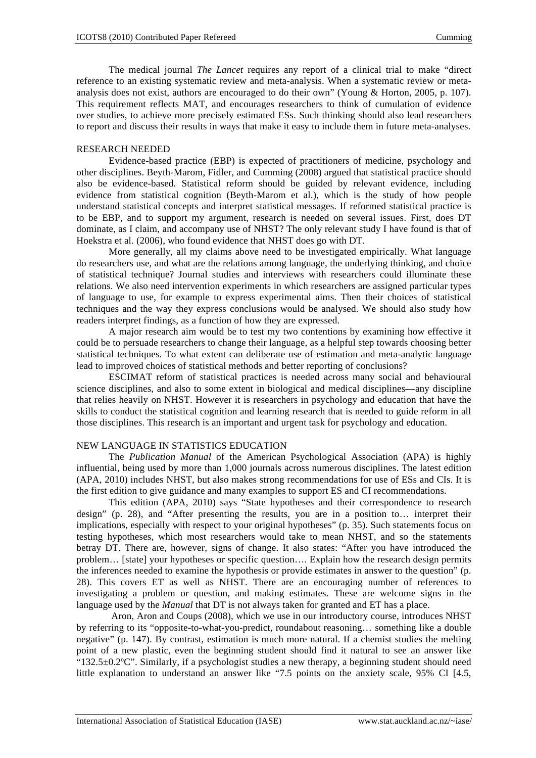The medical journal *The Lancet* requires any report of a clinical trial to make "direct reference to an existing systematic review and meta-analysis. When a systematic review or metaanalysis does not exist, authors are encouraged to do their own" (Young & Horton, 2005, p. 107). This requirement reflects MAT, and encourages researchers to think of cumulation of evidence over studies, to achieve more precisely estimated ESs. Such thinking should also lead researchers to report and discuss their results in ways that make it easy to include them in future meta-analyses.

### RESEARCH NEEDED

Evidence-based practice (EBP) is expected of practitioners of medicine, psychology and other disciplines. Beyth-Marom, Fidler, and Cumming (2008) argued that statistical practice should also be evidence-based. Statistical reform should be guided by relevant evidence, including evidence from statistical cognition (Beyth-Marom et al.), which is the study of how people understand statistical concepts and interpret statistical messages. If reformed statistical practice is to be EBP, and to support my argument, research is needed on several issues. First, does DT dominate, as I claim, and accompany use of NHST? The only relevant study I have found is that of Hoekstra et al. (2006), who found evidence that NHST does go with DT.

More generally, all my claims above need to be investigated empirically. What language do researchers use, and what are the relations among language, the underlying thinking, and choice of statistical technique? Journal studies and interviews with researchers could illuminate these relations. We also need intervention experiments in which researchers are assigned particular types of language to use, for example to express experimental aims. Then their choices of statistical techniques and the way they express conclusions would be analysed. We should also study how readers interpret findings, as a function of how they are expressed.

A major research aim would be to test my two contentions by examining how effective it could be to persuade researchers to change their language, as a helpful step towards choosing better statistical techniques. To what extent can deliberate use of estimation and meta-analytic language lead to improved choices of statistical methods and better reporting of conclusions?

ESCIMAT reform of statistical practices is needed across many social and behavioural science disciplines, and also to some extent in biological and medical disciplines—any discipline that relies heavily on NHST. However it is researchers in psychology and education that have the skills to conduct the statistical cognition and learning research that is needed to guide reform in all those disciplines. This research is an important and urgent task for psychology and education.

# NEW LANGUAGE IN STATISTICS EDUCATION

The *Publication Manual* of the American Psychological Association (APA) is highly influential, being used by more than 1,000 journals across numerous disciplines. The latest edition (APA, 2010) includes NHST, but also makes strong recommendations for use of ESs and CIs. It is the first edition to give guidance and many examples to support ES and CI recommendations.

This edition (APA, 2010) says "State hypotheses and their correspondence to research design" (p. 28), and "After presenting the results, you are in a position to… interpret their implications, especially with respect to your original hypotheses" (p. 35). Such statements focus on testing hypotheses, which most researchers would take to mean NHST, and so the statements betray DT. There are, however, signs of change. It also states: "After you have introduced the problem… [state] your hypotheses or specific question…. Explain how the research design permits the inferences needed to examine the hypothesis or provide estimates in answer to the question" (p. 28). This covers ET as well as NHST. There are an encouraging number of references to investigating a problem or question, and making estimates. These are welcome signs in the language used by the *Manual* that DT is not always taken for granted and ET has a place.

 Aron, Aron and Coups (2008), which we use in our introductory course, introduces NHST by referring to its "opposite-to-what-you-predict, roundabout reasoning… something like a double negative" (p. 147). By contrast, estimation is much more natural. If a chemist studies the melting point of a new plastic, even the beginning student should find it natural to see an answer like  $^{14}$  132.5 $\pm$ 0.2°C". Similarly, if a psychologist studies a new therapy, a beginning student should need little explanation to understand an answer like "7.5 points on the anxiety scale, 95% CI [4.5,